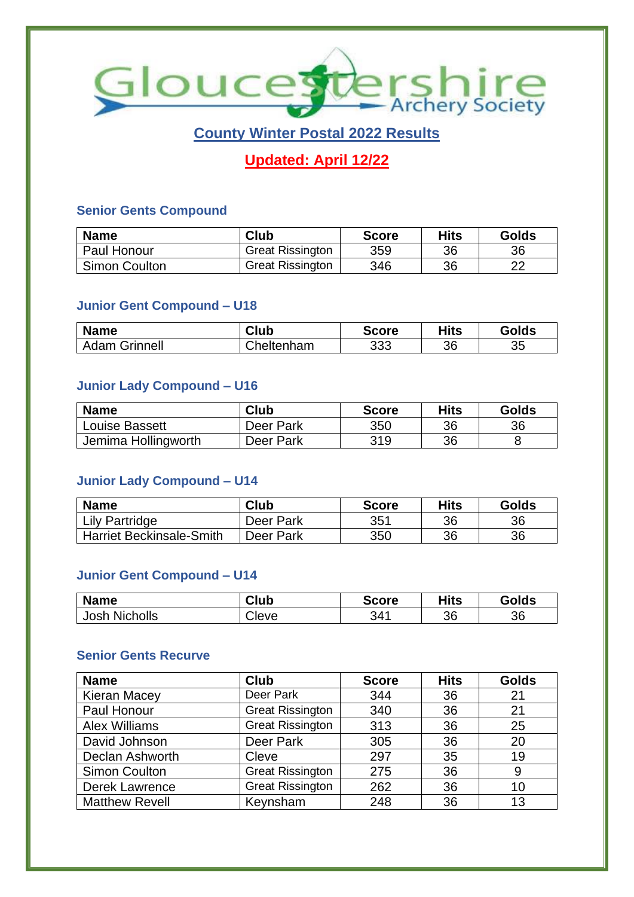

# **County Winter Postal 2022 Results**

# **Updated: April 12/22**

#### **Senior Gents Compound**

| <b>Name</b>          | Club                    | <b>Score</b> | <b>Hits</b> | Golds |
|----------------------|-------------------------|--------------|-------------|-------|
| l Paul Honour        | <b>Great Rissington</b> | 359          | 36          | 36    |
| <b>Simon Coulton</b> | <b>Great Rissington</b> | 346          | 36          | ົດດ   |

#### **Junior Gent Compound – U18**

| <b>Name</b>          | Club       | <b>Score</b> | Hits | Golds |
|----------------------|------------|--------------|------|-------|
| <b>Adam Grinnell</b> | Cheltenham | 333          | 36   | 35    |

### **Junior Lady Compound – U16**

| <b>Name</b>         | <b>Club</b> | <b>Score</b> | Hits | <b>Golds</b> |
|---------------------|-------------|--------------|------|--------------|
| Louise Bassett      | Deer Park   | 350          | 36   | 36           |
| Jemima Hollingworth | Deer Park   | 319          | 36   |              |

#### **Junior Lady Compound – U14**

| <b>Name</b>                     | <b>Club</b> | <b>Score</b> | Hits | Golds |
|---------------------------------|-------------|--------------|------|-------|
| Lily Partridge                  | Deer Park   | 351          | 36   | 36    |
| <b>Harriet Beckinsale-Smith</b> | Deer Park   | 350          | 36   | 36    |

#### **Junior Gent Compound – U14**

| <b>Name</b>      | <b>Club</b> | <b>Score</b> | Hits | <b>Golds</b> |
|------------------|-------------|--------------|------|--------------|
| Nicholls<br>Josh | Cleve       | 341          | 36   | 36           |

#### **Senior Gents Recurve**

| <b>Name</b>           | <b>Club</b>             | <b>Score</b> | <b>Hits</b> | <b>Golds</b> |
|-----------------------|-------------------------|--------------|-------------|--------------|
| <b>Kieran Macey</b>   | Deer Park               | 344          | 36          | 21           |
| Paul Honour           | <b>Great Rissington</b> | 340          | 36          | 21           |
| <b>Alex Williams</b>  | <b>Great Rissington</b> | 313          | 36          | 25           |
| David Johnson         | Deer Park               | 305          | 36          | 20           |
| Declan Ashworth       | Cleve                   | 297          | 35          | 19           |
| <b>Simon Coulton</b>  | <b>Great Rissington</b> | 275          | 36          | 9            |
| Derek Lawrence        | <b>Great Rissington</b> | 262          | 36          | 10           |
| <b>Matthew Revell</b> | Keynsham                | 248          | 36          | 13           |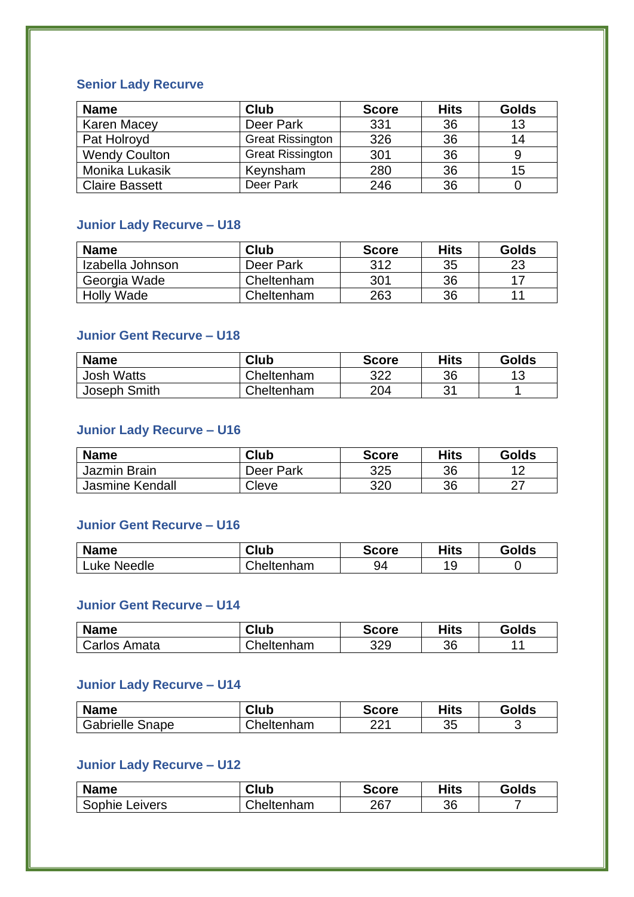### **Senior Lady Recurve**

| <b>Name</b>           | <b>Club</b>             | <b>Score</b> | <b>Hits</b> | <b>Golds</b> |
|-----------------------|-------------------------|--------------|-------------|--------------|
| <b>Karen Macey</b>    | Deer Park               | 331          | 36          | 13           |
| Pat Holroyd           | <b>Great Rissington</b> | 326          | 36          | 14           |
| <b>Wendy Coulton</b>  | <b>Great Rissington</b> | 301          | 36          |              |
| Monika Lukasik        | Keynsham                | 280          | 36          | 15           |
| <b>Claire Bassett</b> | Deer Park               | 246          | 36          |              |

### **Junior Lady Recurve – U18**

| <b>Name</b>       | Club       | <b>Score</b> | <b>Hits</b> | Golds |
|-------------------|------------|--------------|-------------|-------|
| Izabella Johnson  | Deer Park  | 312          | 35          | 23    |
| Georgia Wade      | Cheltenham | 301          | 36          |       |
| <b>Holly Wade</b> | Cheltenham | 263          | 36          |       |

#### **Junior Gent Recurve – U18**

| <b>Name</b>       | Club       | <b>Score</b> | Hits | <b>Golds</b> |
|-------------------|------------|--------------|------|--------------|
| <b>Josh Watts</b> | Cheltenham | 322          | 36   | 10           |
| Joseph Smith      | Cheltenham | 204          | 21   |              |

## **Junior Lady Recurve – U16**

| <b>Name</b>            | <b>Club</b> | <b>Score</b> | <b>Hits</b> | <b>Golds</b> |
|------------------------|-------------|--------------|-------------|--------------|
| Jazmin Brain           | Deer Park   | 325          | 36          |              |
| <b>Jasmine Kendall</b> | Cleve       | 320          | 36          |              |

#### **Junior Gent Recurve – U16**

| <b>Name</b> | <b>Club</b> | <b>Score</b> | Hits     | Golds |
|-------------|-------------|--------------|----------|-------|
| Luke Needle | Cheltenham  | 94           | 1 Q<br>w |       |

## **Junior Gent Recurve – U14**

| <b>Name</b>  | Club              | Score | Hits | Golds |
|--------------|-------------------|-------|------|-------|
| Carlos Amata | <b>Cheltenham</b> | 329   | 36   |       |

## **Junior Lady Recurve – U14**

| <b>Name</b>            | Club              | <b>Score</b> | Hits | <b>Golds</b> |
|------------------------|-------------------|--------------|------|--------------|
| <b>Gabrielle Snape</b> | <b>Cheltenham</b> | ດດ4          | 35   |              |

## **Junior Lady Recurve – U12**

| <b>Name</b>    | <b>Club</b> | <b>Score</b> | Hits | Golds |
|----------------|-------------|--------------|------|-------|
| Sophie Leivers | Cheltenham  | 267          | 36   |       |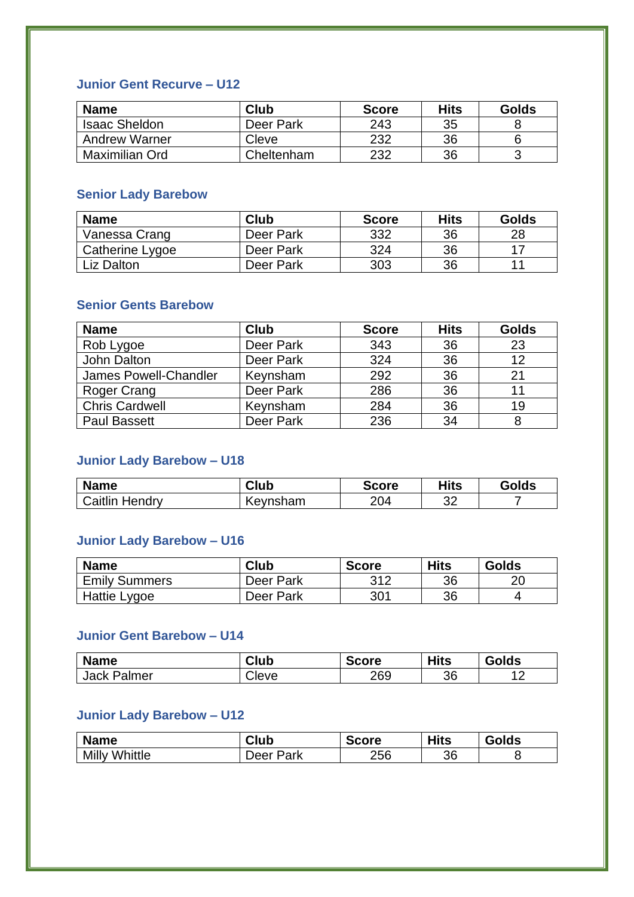### **Junior Gent Recurve – U12**

| <b>Name</b>          | Club       | <b>Score</b> | Hits | <b>Golds</b> |
|----------------------|------------|--------------|------|--------------|
| <b>Isaac Sheldon</b> | Deer Park  | 243          | 35   |              |
| <b>Andrew Warner</b> | Cleve      | 232          | 36   |              |
| Maximilian Ord       | Cheltenham | 232          | 36   |              |

## **Senior Lady Barebow**

| <b>Name</b>     | Club      | <b>Score</b> | <b>Hits</b> | <b>Golds</b> |
|-----------------|-----------|--------------|-------------|--------------|
| Vanessa Crang   | Deer Park | 332          | 36          | 28           |
| Catherine Lygoe | Deer Park | 324          | 36          |              |
| Liz Dalton      | Deer Park | 303          | 36          |              |

## **Senior Gents Barebow**

| <b>Name</b>           | Club      | <b>Score</b> | <b>Hits</b> | <b>Golds</b> |
|-----------------------|-----------|--------------|-------------|--------------|
| Rob Lygoe             | Deer Park | 343          | 36          | 23           |
| John Dalton           | Deer Park | 324          | 36          | 12           |
| James Powell-Chandler | Keynsham  | 292          | 36          | 21           |
| Roger Crang           | Deer Park | 286          | 36          |              |
| <b>Chris Cardwell</b> | Keynsham  | 284          | 36          | 19           |
| <b>Paul Bassett</b>   | Deer Park | 236          | 34          |              |

## **Junior Lady Barebow – U18**

| <b>Name</b>    | Club     | <b>Score</b> | Hits     | <b>Golds</b> |
|----------------|----------|--------------|----------|--------------|
| Caitlin Hendry | Keynsham | 204          | ാറ<br>ັ້ |              |

## **Junior Lady Barebow – U16**

| <b>Name</b>          | <b>Club</b> | <b>Score</b> | <b>Hits</b> | <b>Golds</b> |
|----------------------|-------------|--------------|-------------|--------------|
| <b>Emily Summers</b> | Deer Park   | 312          | 36          |              |
| Hattie Lygoe         | Deer Park   | 301          | 36          |              |

#### **Junior Gent Barebow – U14**

| <b>Name</b> | Club  | <b>Score</b> | <b>Hits</b> | Golds |
|-------------|-------|--------------|-------------|-------|
| Jack Palmer | eveاب | 269          | 36          |       |

### **Junior Lady Barebow – U12**

| <b>Name</b>          | Club      | <b>Score</b> | <b>Hits</b> | <b>Golds</b> |
|----------------------|-----------|--------------|-------------|--------------|
| <b>Milly Whittle</b> | Deer Park | 256          | 36          |              |